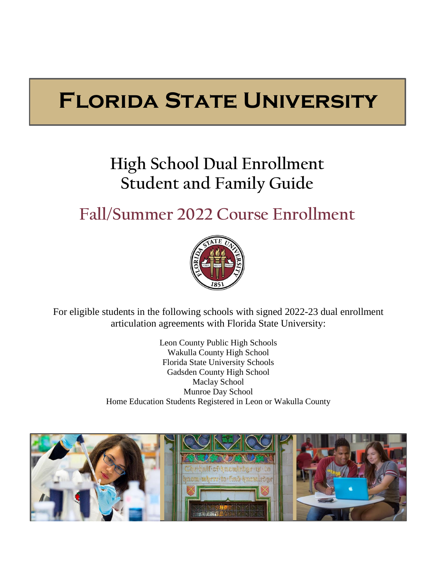# **Florida State University**

# **High School Dual Enrollment Student and Family Guide**

# **Fall/Summer 2022 Course Enrollment**



For eligible students in the following schools with signed 2022-23 dual enrollment articulation agreements with Florida State University:

> Leon County Public High Schools Wakulla County High School Florida State University Schools Gadsden County High School Maclay School Munroe Day School Home Education Students Registered in Leon or Wakulla County

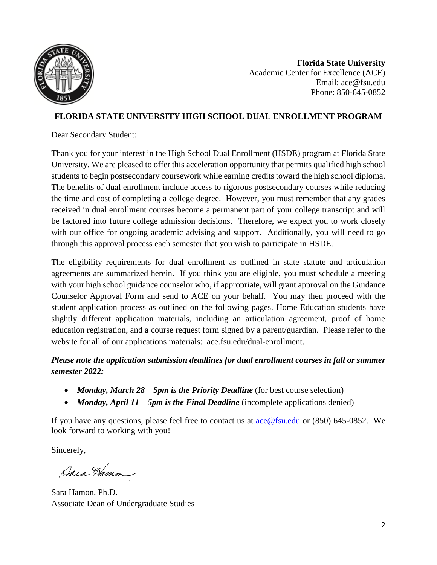

**Florida State University**  Academic Center for Excellence (ACE) Email: ace@fsu.edu Phone: 850-645-0852

#### **FLORIDA STATE UNIVERSITY HIGH SCHOOL DUAL ENROLLMENT PROGRAM**

Dear Secondary Student:

Thank you for your interest in the High School Dual Enrollment (HSDE) program at Florida State University. We are pleased to offer this acceleration opportunity that permits qualified high school students to begin postsecondary coursework while earning credits toward the high school diploma. The benefits of dual enrollment include access to rigorous postsecondary courses while reducing the time and cost of completing a college degree. However, you must remember that any grades received in dual enrollment courses become a permanent part of your college transcript and will be factored into future college admission decisions. Therefore, we expect you to work closely with our office for ongoing academic advising and support. Additionally, you will need to go through this approval process each semester that you wish to participate in HSDE.

The eligibility requirements for dual enrollment as outlined in state statute and articulation agreements are summarized herein. If you think you are eligible, you must schedule a meeting with your high school guidance counselor who, if appropriate, will grant approval on the Guidance Counselor Approval Form and send to ACE on your behalf. You may then proceed with the student application process as outlined on the following pages. Home Education students have slightly different application materials, including an articulation agreement, proof of home education registration, and a course request form signed by a parent/guardian. Please refer to the website for all of our applications materials: ace.fsu.edu/dual-enrollment.

#### *Please note the application submission deadlines for dual enrollment courses in fall or summer semester 2022:*

- *Monday, March 28 5pm is the Priority Deadline* (for best course selection)
- *Monday, April 11 – 5pm is the Final Deadline* (incomplete applications denied)

If you have any questions, please feel free to contact us at  $\alpha \in \mathcal{Q}$  fsu.edu or (850) 645-0852. We look forward to working with you!

Sincerely,

Dara Hamon

Sara Hamon, Ph.D. Associate Dean of Undergraduate Studies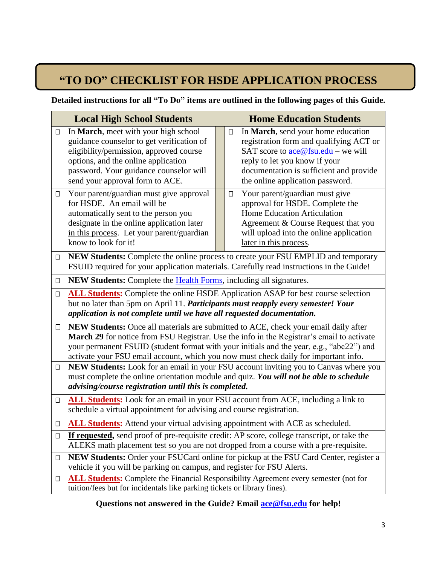# **"TO DO" CHECKLIST FOR HSDE APPLICATION PROCESS**

#### **Detailed instructions for all "To Do" items are outlined in the following pages of this Guide.**

|        | <b>Local High School Students</b>                                                                                                                                                                                                                                                                                                                                   |  | <b>Home Education Students</b>                                                                                                                                                                                                                                 |  |  |
|--------|---------------------------------------------------------------------------------------------------------------------------------------------------------------------------------------------------------------------------------------------------------------------------------------------------------------------------------------------------------------------|--|----------------------------------------------------------------------------------------------------------------------------------------------------------------------------------------------------------------------------------------------------------------|--|--|
| $\Box$ | In March, meet with your high school<br>guidance counselor to get verification of<br>eligibility/permission, approved course<br>options, and the online application<br>password. Your guidance counselor will<br>send your approval form to ACE.                                                                                                                    |  | In March, send your home education<br>$\Box$<br>registration form and qualifying ACT or<br>SAT score to $\frac{\text{ace@fsu.edu}}{$ – we will<br>reply to let you know if your<br>documentation is sufficient and provide<br>the online application password. |  |  |
| $\Box$ | Your parent/guardian must give approval<br>for HSDE. An email will be<br>automatically sent to the person you<br>designate in the online application later<br>in this process. Let your parent/guardian<br>know to look for it!                                                                                                                                     |  | Your parent/guardian must give<br>$\Box$<br>approval for HSDE. Complete the<br>Home Education Articulation<br>Agreement & Course Request that you<br>will upload into the online application<br>later in this process.                                         |  |  |
| $\Box$ | NEW Students: Complete the online process to create your FSU EMPLID and temporary<br>FSUID required for your application materials. Carefully read instructions in the Guide!                                                                                                                                                                                       |  |                                                                                                                                                                                                                                                                |  |  |
| $\Box$ | NEW Students: Complete the <b>Health Forms</b> , including all signatures.                                                                                                                                                                                                                                                                                          |  |                                                                                                                                                                                                                                                                |  |  |
| $\Box$ | <b>ALL Students:</b> Complete the online HSDE Application ASAP for best course selection<br>but no later than 5pm on April 11. Participants must reapply every semester! Your<br>application is not complete until we have all requested documentation.                                                                                                             |  |                                                                                                                                                                                                                                                                |  |  |
| $\Box$ | NEW Students: Once all materials are submitted to ACE, check your email daily after<br>March 29 for notice from FSU Registrar. Use the info in the Registrar's email to activate<br>your permanent FSUID (student format with your initials and the year, e.g., "abc22") and<br>activate your FSU email account, which you now must check daily for important info. |  |                                                                                                                                                                                                                                                                |  |  |
| $\Box$ | NEW Students: Look for an email in your FSU account inviting you to Canvas where you<br>must complete the online orientation module and quiz. You will not be able to schedule<br>advising/course registration until this is completed.                                                                                                                             |  |                                                                                                                                                                                                                                                                |  |  |
| $\Box$ | <b>ALL Students:</b> Look for an email in your FSU account from ACE, including a link to<br>schedule a virtual appointment for advising and course registration.                                                                                                                                                                                                    |  |                                                                                                                                                                                                                                                                |  |  |
| □      | ALL Students: Attend your virtual advising appointment with ACE as scheduled.                                                                                                                                                                                                                                                                                       |  |                                                                                                                                                                                                                                                                |  |  |
| $\Box$ | If requested, send proof of pre-requisite credit: AP score, college transcript, or take the<br>ALEKS math placement test so you are not dropped from a course with a pre-requisite.                                                                                                                                                                                 |  |                                                                                                                                                                                                                                                                |  |  |
| $\Box$ | NEW Students: Order your FSUCard online for pickup at the FSU Card Center, register a<br>vehicle if you will be parking on campus, and register for FSU Alerts.                                                                                                                                                                                                     |  |                                                                                                                                                                                                                                                                |  |  |
| $\Box$ | ALL Students: Complete the Financial Responsibility Agreement every semester (not for<br>tuition/fees but for incidentals like parking tickets or library fines).                                                                                                                                                                                                   |  |                                                                                                                                                                                                                                                                |  |  |

#### **Questions not answered in the Guide? Email [ace@fsu.edu](mailto:ace@fsu.edu) for help!**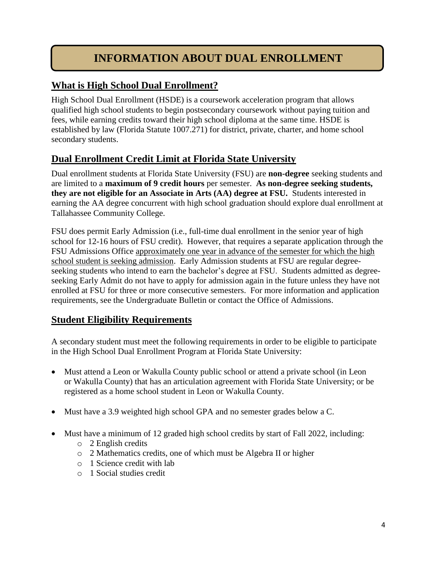# **INFORMATION ABOUT DUAL ENROLLMENT**

# **What is High School Dual Enrollment?**

High School Dual Enrollment (HSDE) is a coursework acceleration program that allows qualified high school students to begin postsecondary coursework without paying tuition and fees, while earning credits toward their high school diploma at the same time. HSDE is established by law (Florida Statute 1007.271) for district, private, charter, and home school secondary students.

# **Dual Enrollment Credit Limit at Florida State University**

Dual enrollment students at Florida State University (FSU) are **non-degree** seeking students and are limited to a **maximum of 9 credit hours** per semester. **As non-degree seeking students, they are not eligible for an Associate in Arts (AA) degree at FSU.** Students interested in earning the AA degree concurrent with high school graduation should explore dual enrollment at Tallahassee Community College.

FSU does permit Early Admission (i.e., full-time dual enrollment in the senior year of high school for 12-16 hours of FSU credit). However, that requires a separate application through the FSU Admissions Office approximately one year in advance of the semester for which the high school student is seeking admission. Early Admission students at FSU are regular degreeseeking students who intend to earn the bachelor's degree at FSU. Students admitted as degreeseeking Early Admit do not have to apply for admission again in the future unless they have not enrolled at FSU for three or more consecutive semesters. For more information and application requirements, see the Undergraduate Bulletin or contact the Office of Admissions.

# **Student Eligibility Requirements**

A secondary student must meet the following requirements in order to be eligible to participate in the High School Dual Enrollment Program at Florida State University:

- Must attend a Leon or Wakulla County public school or attend a private school (in Leon or Wakulla County) that has an articulation agreement with Florida State University; or be registered as a home school student in Leon or Wakulla County.
- Must have a 3.9 weighted high school GPA and no semester grades below a C.
- Must have a minimum of 12 graded high school credits by start of Fall 2022, including:
	- o 2 English credits
	- o 2 Mathematics credits, one of which must be Algebra II or higher
	- o 1 Science credit with lab
	- o 1 Social studies credit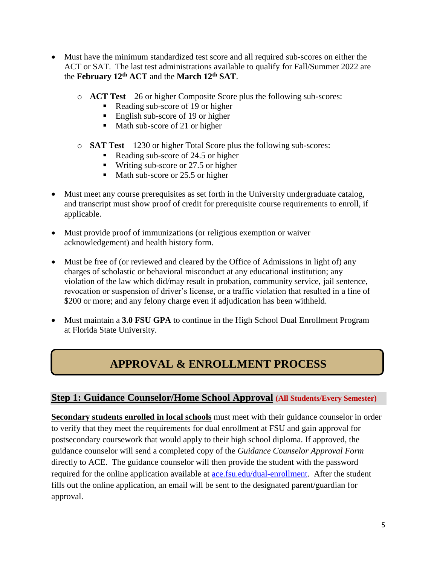- Must have the minimum standardized test score and all required sub-scores on either the ACT or SAT. The last test administrations available to qualify for Fall/Summer 2022 are the **February 12th ACT** and the **March 12th SAT**.
	- o **ACT Test** 26 or higher Composite Score plus the following sub-scores:
		- Reading sub-score of 19 or higher
		- English sub-score of 19 or higher
		- $\blacksquare$  Math sub-score of 21 or higher
	- o **SAT Test** 1230 or higher Total Score plus the following sub-scores:
		- Reading sub-score of 24.5 or higher
		- $\blacksquare$  Writing sub-score or 27.5 or higher
		- Math sub-score or 25.5 or higher
- Must meet any course prerequisites as set forth in the University undergraduate catalog, and transcript must show proof of credit for prerequisite course requirements to enroll, if applicable.
- Must provide proof of immunizations (or religious exemption or waiver acknowledgement) and health history form.
- Must be free of (or reviewed and cleared by the Office of Admissions in light of) any charges of scholastic or behavioral misconduct at any educational institution; any violation of the law which did/may result in probation, community service, jail sentence, revocation or suspension of driver's license, or a traffic violation that resulted in a fine of \$200 or more; and any felony charge even if adjudication has been withheld.
- Must maintain a **3.0 FSU GPA** to continue in the High School Dual Enrollment Program at Florida State University.

# **APPROVAL & ENROLLMENT PROCESS**

#### **Step 1: Guidance Counselor/Home School Approval (All Students/Every Semester)**

**Secondary students enrolled in local schools** must meet with their guidance counselor in order to verify that they meet the requirements for dual enrollment at FSU and gain approval for postsecondary coursework that would apply to their high school diploma. If approved, the guidance counselor will send a completed copy of the *Guidance Counselor Approval Form* directly to ACE. The guidance counselor will then provide the student with the password required for the online application available at **ace.fsu.edu/dual-enrollment**. After the student fills out the online application, an email will be sent to the designated parent/guardian for approval.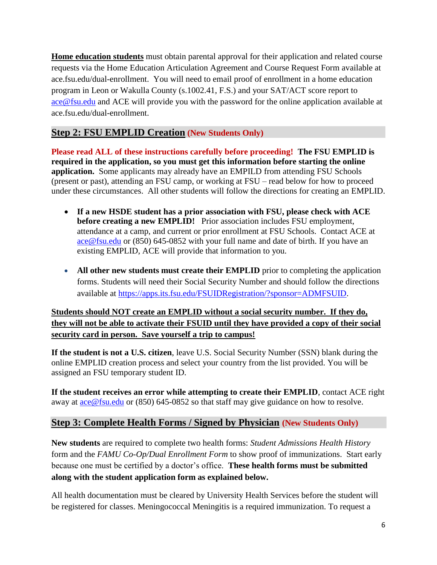**Home education students** must obtain parental approval for their application and related course requests via the Home Education Articulation Agreement and Course Request Form available at ace.fsu.edu/dual-enrollment. You will need to email proof of enrollment in a home education program in Leon or Wakulla County (s.1002.41, F.S.) and your SAT/ACT score report to [ace@fsu.edu](mailto:ace@fsu.edu) and ACE will provide you with the password for the online application available at ace.fsu.edu/dual-enrollment.

### **Step 2: FSU EMPLID Creation (New Students Only)**

**Please read ALL of these instructions carefully before proceeding! The FSU EMPLID is required in the application, so you must get this information before starting the online application.** Some applicants may already have an EMPILD from attending FSU Schools (present or past), attending an FSU camp, or working at FSU – read below for how to proceed under these circumstances. All other students will follow the directions for creating an EMPLID.

- **If a new HSDE student has a prior association with FSU, please check with ACE before creating a new EMPLID!** Prior association includes FSU employment, attendance at a camp, and current or prior enrollment at FSU Schools. Contact ACE at [ace@fsu.edu](mailto:ace@fsu.edu) or (850) 645-0852 with your full name and date of birth. If you have an existing EMPLID, ACE will provide that information to you.
- **All other new students must create their EMPLID** prior to completing the application forms. Students will need their Social Security Number and should follow the directions available at [https://apps.its.fsu.edu/FSUIDRegistration/?sponsor=ADMFSUID.](https://apps.its.fsu.edu/FSUIDRegistration/?sponsor=ADMFSUID)

#### **Students should NOT create an EMPLID without a social security number. If they do, they will not be able to activate their FSUID until they have provided a copy of their social security card in person. Save yourself a trip to campus!**

**If the student is not a U.S. citizen**, leave U.S. Social Security Number (SSN) blank during the online EMPLID creation process and select your country from the list provided. You will be assigned an FSU temporary student ID.

**If the student receives an error while attempting to create their EMPLID**, contact ACE right away at [ace@fsu.edu](mailto:ace@fsu.edu) or (850) 645-0852 so that staff may give guidance on how to resolve.

#### **Step 3: Complete Health Forms / Signed by Physician (New Students Only)**

**New students** are required to complete two health forms: *Student Admissions Health History* form and the *FAMU Co-Op/Dual Enrollment Form* to show proof of immunizations. Start early because one must be certified by a doctor's office. **These health forms must be submitted along with the student application form as explained below.**

All health documentation must be cleared by University Health Services before the student will be registered for classes. Meningococcal Meningitis is a required immunization. To request a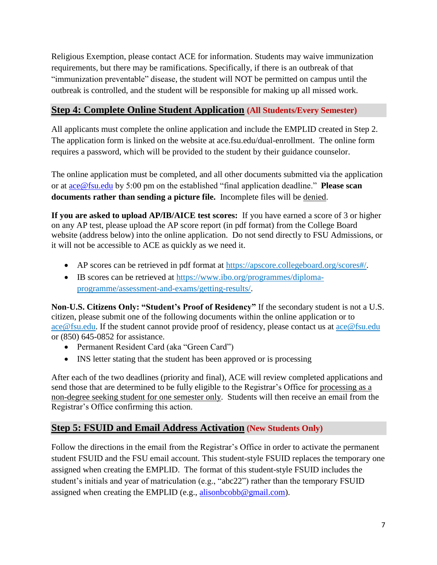Religious Exemption, please contact ACE for information. Students may waive immunization requirements, but there may be ramifications. Specifically, if there is an outbreak of that "immunization preventable" disease, the student will NOT be permitted on campus until the outbreak is controlled, and the student will be responsible for making up all missed work.

### **Step 4: Complete Online Student Application (All Students/Every Semester)**

All applicants must complete the online application and include the EMPLID created in Step 2. The application form is linked on the website at ace.fsu.edu/dual-enrollment. The online form requires a password, which will be provided to the student by their guidance counselor.

The online application must be completed, and all other documents submitted via the application or at [ace@fsu.edu](mailto:ace@fsu.edu) by 5:00 pm on the established "final application deadline." **Please scan documents rather than sending a picture file.** Incomplete files will be denied.

**If you are asked to upload AP/IB/AICE test scores:** If you have earned a score of 3 or higher on any AP test, please upload the AP score report (in pdf format) from the College Board website (address below) into the online application. Do not send directly to FSU Admissions, or it will not be accessible to ACE as quickly as we need it.

- AP scores can be retrieved in pdf format at [https://apscore.collegeboard.org/scores#/.](https://apscore.collegeboard.org/scores#/)
- IB scores can be retrieved at [https://www.ibo.org/programmes/diploma](https://www.ibo.org/programmes/diploma-programme/assessment-and-exams/getting-results/)[programme/assessment-and-exams/getting-results/.](https://www.ibo.org/programmes/diploma-programme/assessment-and-exams/getting-results/)

**Non-U.S. Citizens Only: "Student's Proof of Residency"** If the secondary student is not a U.S. citizen, please submit one of the following documents within the online application or to ace@fsu.edu. If the student cannot provide proof of residency, please contact us at [ace@fsu.edu](mailto:ace@fsu.edu) or (850) 645-0852 for assistance.

- Permanent Resident Card (aka "Green Card")
- INS letter stating that the student has been approved or is processing

After each of the two deadlines (priority and final), ACE will review completed applications and send those that are determined to be fully eligible to the Registrar's Office for processing as a non-degree seeking student for one semester only. Students will then receive an email from the Registrar's Office confirming this action.

# **Step 5: FSUID and Email Address Activation (New Students Only)**

Follow the directions in the email from the Registrar's Office in order to activate the permanent student FSUID and the FSU email account. This student-style FSUID replaces the temporary one assigned when creating the EMPLID. The format of this student-style FSUID includes the student's initials and year of matriculation (e.g., "abc22") rather than the temporary FSUID assigned when creating the EMPLID (e.g., [alisonbcobb@gmail.com\)](mailto:alisonbcobb@gmail.com).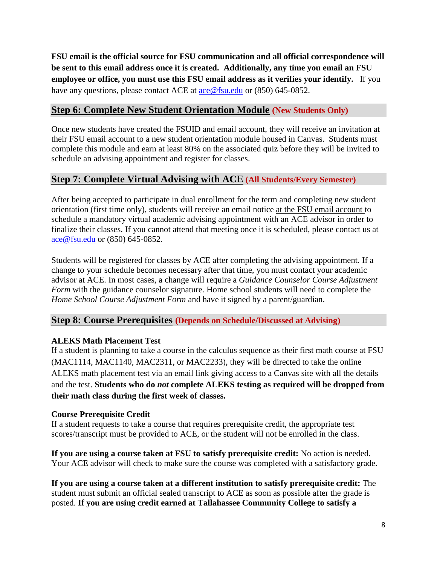**FSU email is the official source for FSU communication and all official correspondence will be sent to this email address once it is created. Additionally, any time you email an FSU employee or office, you must use this FSU email address as it verifies your identify.** If you have any questions, please contact ACE at [ace@fsu.edu](mailto:ace@fsu.edu) or (850) 645-0852.

### **Step 6: Complete New Student Orientation Module (New Students Only)**

Once new students have created the FSUID and email account, they will receive an invitation at their FSU email account to a new student orientation module housed in Canvas. Students must complete this module and earn at least 80% on the associated quiz before they will be invited to schedule an advising appointment and register for classes.

#### **Step 7: Complete Virtual Advising with ACE (All Students/Every Semester)**

After being accepted to participate in dual enrollment for the term and completing new student orientation (first time only), students will receive an email notice at the FSU email account to schedule a mandatory virtual academic advising appointment with an ACE advisor in order to finalize their classes. If you cannot attend that meeting once it is scheduled, please contact us at [ace@fsu.edu](mailto:ace@fsu.edu) or (850) 645-0852.

Students will be registered for classes by ACE after completing the advising appointment. If a change to your schedule becomes necessary after that time, you must contact your academic advisor at ACE. In most cases, a change will require a *Guidance Counselor Course Adjustment Form* with the guidance counselor signature. Home school students will need to complete the *Home School Course Adjustment Form* and have it signed by a parent/guardian.

#### **Step 8: Course Prerequisites (Depends on Schedule/Discussed at Advising)**

#### **ALEKS Math Placement Test**

If a student is planning to take a course in the calculus sequence as their first math course at FSU (MAC1114, MAC1140, MAC2311, or MAC2233), they will be directed to take the online ALEKS math placement test via an email link giving access to a Canvas site with all the details and the test. **Students who do** *not* **complete ALEKS testing as required will be dropped from their math class during the first week of classes.**

#### **Course Prerequisite Credit**

If a student requests to take a course that requires prerequisite credit, the appropriate test scores/transcript must be provided to ACE, or the student will not be enrolled in the class.

**If you are using a course taken at FSU to satisfy prerequisite credit:** No action is needed. Your ACE advisor will check to make sure the course was completed with a satisfactory grade.

**If you are using a course taken at a different institution to satisfy prerequisite credit:** The student must submit an official sealed transcript to ACE as soon as possible after the grade is posted. **If you are using credit earned at Tallahassee Community College to satisfy a**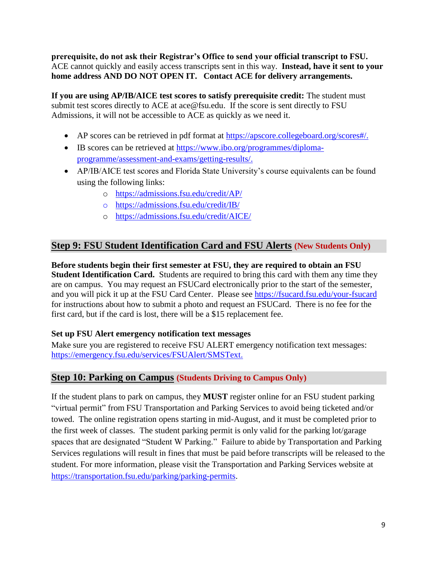**prerequisite, do not ask their Registrar's Office to send your official transcript to FSU.** ACE cannot quickly and easily access transcripts sent in this way. **Instead, have it sent to your home address AND DO NOT OPEN IT. Contact ACE for delivery arrangements.**

**If you are using AP/IB/AICE test scores to satisfy prerequisite credit:** The student must submit test scores directly to ACE at ace@fsu.edu. If the score is sent directly to FSU Admissions, it will not be accessible to ACE as quickly as we need it.

- AP scores can be retrieved in pdf format at [https://apscore.collegeboard.org/scores#/.](https://apscore.collegeboard.org/scores#/)
- IB scores can be retrieved at [https://www.ibo.org/programmes/diploma](https://www.ibo.org/programmes/diploma-programme/assessment-and-exams/getting-results/)[programme/assessment-and-exams/getting-results/.](https://www.ibo.org/programmes/diploma-programme/assessment-and-exams/getting-results/)
- AP/IB/AICE test scores and Florida State University's course equivalents can be found using the following links:
	- o <https://admissions.fsu.edu/credit/AP/>
	- o <https://admissions.fsu.edu/credit/IB/>
	- o <https://admissions.fsu.edu/credit/AICE/>

#### **Step 9: FSU Student Identification Card and FSU Alerts (New Students Only)**

**Before students begin their first semester at FSU, they are required to obtain an FSU Student Identification Card.** Students are required to bring this card with them any time they are on campus. You may request an FSUCard electronically prior to the start of the semester, and you will pick it up at the FSU Card Center. Please see <https://fsucard.fsu.edu/your-fsucard> for instructions about how to submit a photo and request an FSUCard. There is no fee for the first card, but if the card is lost, there will be a \$15 replacement fee.

#### **Set up FSU Alert emergency notification text messages**

Make sure you are registered to receive FSU ALERT emergency notification text messages: [https://emergency.fsu.edu/services/FSUAlert/SMSText.](https://emergency.fsu.edu/services/FSUAlert/SMSText)

#### **Step 10: Parking on Campus (Students Driving to Campus Only)**

If the student plans to park on campus, they **MUST** register online for an FSU student parking "virtual permit" from FSU Transportation and Parking Services to avoid being ticketed and/or towed. The online registration opens starting in mid-August, and it must be completed prior to the first week of classes. The student parking permit is only valid for the parking lot/garage spaces that are designated "Student W Parking." Failure to abide by Transportation and Parking Services regulations will result in fines that must be paid before transcripts will be released to the student. For more information, please visit the Transportation and Parking Services website at [https://transportation.fsu.edu/parking/parking-permits.](https://transportation.fsu.edu/parking/parking-permits)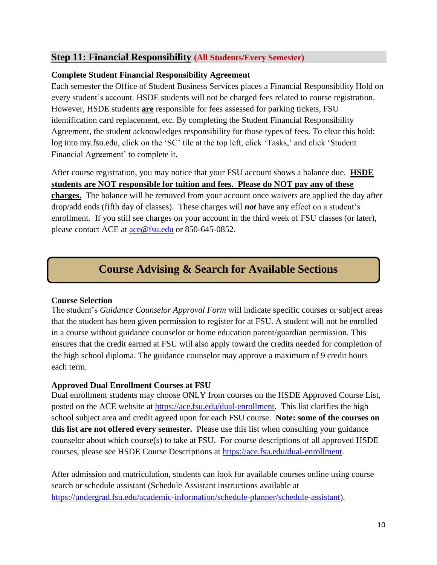#### **Step 11: Financial Responsibility (All Students/Every Semester)**

#### **Complete Student Financial Responsibility Agreement**

Each semester the Office of Student Business Services places a Financial Responsibility Hold on every student's account. HSDE students will not be charged fees related to course registration. However, HSDE students **are** responsible for fees assessed for parking tickets, FSU identification card replacement, etc. By completing the Student Financial Responsibility Agreement, the student acknowledges responsibility for those types of fees. To clear this hold: log into my.fsu.edu, click on the 'SC' tile at the top left, click 'Tasks,' and click 'Student Financial Agreement' to complete it.

After course registration, you may notice that your FSU account shows a balance due. **HSDE students are NOT responsible for tuition and fees. Please do NOT pay any of these charges.** The balance will be removed from your account once waivers are applied the day after drop/add ends (fifth day of classes). These charges will *not* have any effect on a student's enrollment. If you still see charges on your account in the third week of FSU classes (or later), please contact ACE at [ace@fsu.edu](mailto:ace@fsu.edu) or 850-645-0852.

# **Course Advising & Search for Available Sections**

#### **Course Selection**

The student's *Guidance Counselor Approval Form* will indicate specific courses or subject areas that the student has been given permission to register for at FSU. A student will not be enrolled in a course without guidance counselor or home education parent/guardian permission. This ensures that the credit earned at FSU will also apply toward the credits needed for completion of the high school diploma. The guidance counselor may approve a maximum of 9 credit hours each term.

#### **Approved Dual Enrollment Courses at FSU**

Dual enrollment students may choose ONLY from courses on the HSDE Approved Course List, posted on the ACE website at [https://ace.fsu.edu/dual-enrollment.](https://ace.fsu.edu/dual-enrollment) This list clarifies the high school subject area and credit agreed upon for each FSU course. **Note: some of the courses on this list are not offered every semester.** Please use this list when consulting your guidance counselor about which course(s) to take at FSU. For course descriptions of all approved HSDE courses, please see HSDE Course Descriptions at [https://ace.fsu.edu/dual-enrollment.](https://ace.fsu.edu/dual-enrollment)

After admission and matriculation, students can look for available courses online using course search or schedule assistant (Schedule Assistant instructions available at [https://undergrad.fsu.edu/academic-information/schedule-planner/schedule-assistant\)](https://undergrad.fsu.edu/academic-information/schedule-planner/schedule-assistant).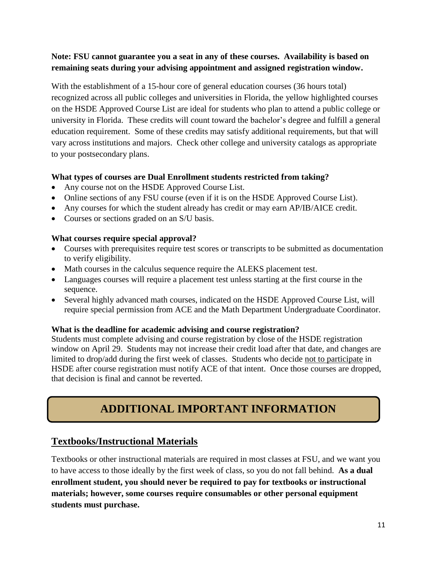#### **Note: FSU cannot guarantee you a seat in any of these courses. Availability is based on remaining seats during your advising appointment and assigned registration window.**

With the establishment of a 15-hour core of general education courses (36 hours total) recognized across all public colleges and universities in Florida, the yellow highlighted courses on the HSDE Approved Course List are ideal for students who plan to attend a public college or university in Florida. These credits will count toward the bachelor's degree and fulfill a general education requirement. Some of these credits may satisfy additional requirements, but that will vary across institutions and majors. Check other college and university catalogs as appropriate to your postsecondary plans.

#### **What types of courses are Dual Enrollment students restricted from taking?**

- Any course not on the HSDE Approved Course List.
- Online sections of any FSU course (even if it is on the HSDE Approved Course List).
- Any courses for which the student already has credit or may earn AP/IB/AICE credit.
- Courses or sections graded on an S/U basis.

#### **What courses require special approval?**

- Courses with prerequisites require test scores or transcripts to be submitted as documentation to verify eligibility.
- Math courses in the calculus sequence require the ALEKS placement test.
- Languages courses will require a placement test unless starting at the first course in the sequence.
- Several highly advanced math courses, indicated on the HSDE Approved Course List, will require special permission from ACE and the Math Department Undergraduate Coordinator.

#### **What is the deadline for academic advising and course registration?**

Students must complete advising and course registration by close of the HSDE registration window on April 29. Students may not increase their credit load after that date, and changes are limited to drop/add during the first week of classes. Students who decide not to participate in HSDE after course registration must notify ACE of that intent. Once those courses are dropped, that decision is final and cannot be reverted.

# **ADDITIONAL IMPORTANT INFORMATION**

# **Textbooks/Instructional Materials**

Textbooks or other instructional materials are required in most classes at FSU, and we want you to have access to those ideally by the first week of class, so you do not fall behind. **As a dual enrollment student, you should never be required to pay for textbooks or instructional materials; however, some courses require consumables or other personal equipment students must purchase.**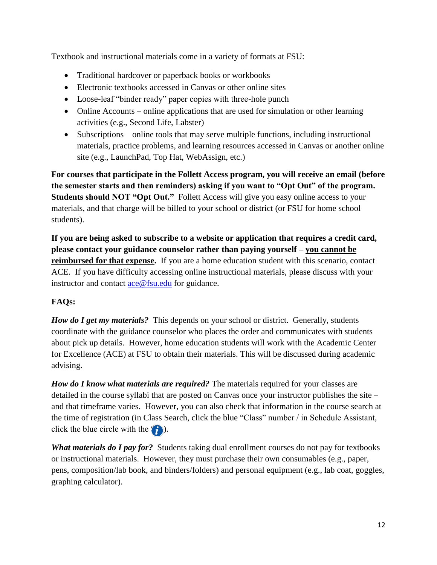Textbook and instructional materials come in a variety of formats at FSU:

- Traditional hardcover or paperback books or workbooks
- Electronic textbooks accessed in Canvas or other online sites
- Loose-leaf "binder ready" paper copies with three-hole punch
- Online Accounts online applications that are used for simulation or other learning activities (e.g., Second Life, Labster)
- Subscriptions online tools that may serve multiple functions, including instructional materials, practice problems, and learning resources accessed in Canvas or another online site (e.g., LaunchPad, Top Hat, WebAssign, etc.)

**For courses that participate in the Follett Access program, you will receive an email (before the semester starts and then reminders) asking if you want to "Opt Out" of the program. Students should NOT "Opt Out."** Follett Access will give you easy online access to your materials, and that charge will be billed to your school or district (or FSU for home school students).

**If you are being asked to subscribe to a website or application that requires a credit card, please contact your guidance counselor rather than paying yourself – you cannot be reimbursed for that expense.** If you are a home education student with this scenario, contact ACE. If you have difficulty accessing online instructional materials, please discuss with your instructor and contact [ace@fsu.edu](mailto:ace@fsu.edu) for guidance.

# **FAQs:**

*How do I get my materials?* This depends on your school or district. Generally, students coordinate with the guidance counselor who places the order and communicates with students about pick up details. However, home education students will work with the Academic Center for Excellence (ACE) at FSU to obtain their materials. This will be discussed during academic advising.

*How do I know what materials are required?* The materials required for your classes are detailed in the course syllabi that are posted on Canvas once your instructor publishes the site – and that timeframe varies. However, you can also check that information in the course search at the time of registration (in Class Search, click the blue "Class" number / in Schedule Assistant, click the blue circle with the  $(i)$ ).

*What materials do I pay for?* Students taking dual enrollment courses do not pay for textbooks or instructional materials. However, they must purchase their own consumables (e.g., paper, pens, composition/lab book, and binders/folders) and personal equipment (e.g., lab coat, goggles, graphing calculator).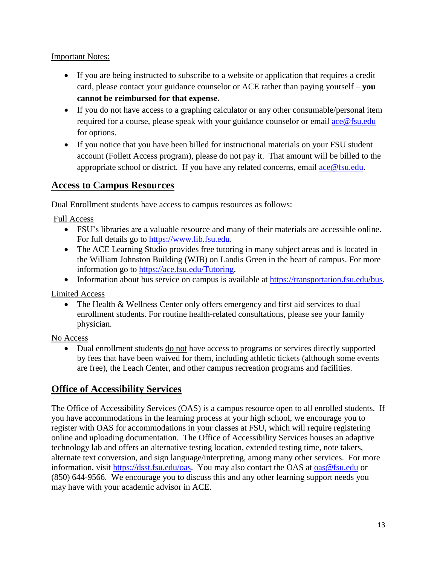#### Important Notes:

- If you are being instructed to subscribe to a website or application that requires a credit card, please contact your guidance counselor or ACE rather than paying yourself – **you cannot be reimbursed for that expense.**
- If you do not have access to a graphing calculator or any other consumable/personal item required for a course, please speak with your guidance counselor or email  $\frac{ace@fsu.edu}{ac@fsu.edu}$ for options.
- If you notice that you have been billed for instructional materials on your FSU student account (Follett Access program), please do not pay it. That amount will be billed to the appropriate school or district. If you have any related concerns, email  $\text{ace@fsu.edu.}$

# **Access to Campus Resources**

Dual Enrollment students have access to campus resources as follows:

Full Access

- FSU's libraries are a valuable resource and many of their materials are accessible online. For full details go to [https://www.lib.fsu.edu.](https://www.lib.fsu.edu/)
- The ACE Learning Studio provides free tutoring in many subject areas and is located in the William Johnston Building (WJB) on Landis Green in the heart of campus. For more information go to [https://ace.fsu.edu/Tutoring.](https://ace.fsu.edu/Tutoring)
- Information about bus service on campus is available at [https://transportation.fsu.edu/bus.](https://transportation.fsu.edu/bus)

Limited Access

• The Health & Wellness Center only offers emergency and first aid services to dual enrollment students. For routine health-related consultations, please see your family physician.

No Access

• Dual enrollment students do not have access to programs or services directly supported by fees that have been waived for them, including athletic tickets (although some events are free), the Leach Center, and other campus recreation programs and facilities.

# **Office of Accessibility Services**

The Office of Accessibility Services (OAS) is a campus resource open to all enrolled students. If you have accommodations in the learning process at your high school, we encourage you to register with OAS for accommodations in your classes at FSU, which will require registering online and uploading documentation. The Office of Accessibility Services houses an adaptive technology lab and offers an alternative testing location, extended testing time, note takers, alternate text conversion, and sign language/interpreting, among many other services. For more information, visit [https://dsst.fsu.edu/oas.](https://dsst.fsu.edu/oas) You may also contact the OAS at [oas@fsu.edu](mailto:oas@fsu.edu) or (850) 644-9566. We encourage you to discuss this and any other learning support needs you may have with your academic advisor in ACE.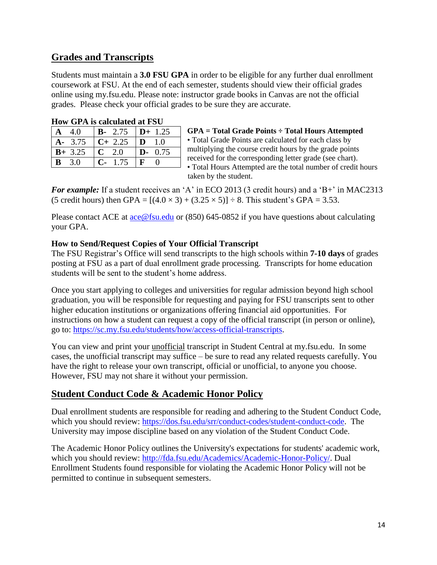# **Grades and Transcripts**

Students must maintain a **3.0 FSU GPA** in order to be eligible for any further dual enrollment coursework at FSU. At the end of each semester, students should view their official grades online using my.fsu.edu. Please note: instructor grade books in Canvas are not the official grades. Please check your official grades to be sure they are accurate.

| Trow Gr A is calculated at FSU |            |                      |  |  |  |  |
|--------------------------------|------------|----------------------|--|--|--|--|
| 4.0                            | $B - 2.75$ | $D+ 1.25$            |  |  |  |  |
| 3.75                           | $C+2.25$   | $\mathbf{D}$<br>1.0  |  |  |  |  |
| $B+ 3.25$                      | $C$ 2.0    | $\mathbf{D}$<br>0.75 |  |  |  |  |
| 3.0<br>$\mathbf{B}$            | 1.75       | F                    |  |  |  |  |

| How GPA is calculated at FSU |  |  |
|------------------------------|--|--|
|------------------------------|--|--|

**GPA = Total Grade Points ÷ Total Hours Attempted** • Total Grade Points are calculated for each class by multiplying the course credit hours by the grade points received for the corresponding letter grade (see chart). • Total Hours Attempted are the total number of credit hours taken by the student.

*For example:* If a student receives an 'A' in ECO 2013 (3 credit hours) and a 'B+' in MAC2313 (5 credit hours) then GPA =  $[(4.0 \times 3) + (3.25 \times 5)] \div 8$ . This student's GPA = 3.53.

Please contact ACE at [ace@fsu.edu](mailto:ace@fsu.edu) or (850) 645-0852 if you have questions about calculating your GPA.

#### **How to Send/Request Copies of Your Official Transcript**

The FSU Registrar's Office will send transcripts to the high schools within **7-10 days** of grades posting at FSU as a part of dual enrollment grade processing. Transcripts for home education students will be sent to the student's home address.

Once you start applying to colleges and universities for regular admission beyond high school graduation, you will be responsible for requesting and paying for FSU transcripts sent to other higher education institutions or organizations offering financial aid opportunities. For instructions on how a student can request a copy of the official transcript (in person or online), go to: [https://sc.my.fsu.edu/students/how/access-official-transcripts.](https://sc.my.fsu.edu/students/how/access-official-transcripts)

You can view and print your unofficial transcript in Student Central at my.fsu.edu. In some cases, the unofficial transcript may suffice – be sure to read any related requests carefully. You have the right to release your own transcript, official or unofficial, to anyone you choose. However, FSU may not share it without your permission.

# **Student Conduct Code & Academic Honor Policy**

Dual enrollment students are responsible for reading and adhering to the Student Conduct Code, which you should review: [https://dos.fsu.edu/srr/conduct-codes/student-conduct-code.](https://dos.fsu.edu/srr/conduct-codes/student-conduct-code) The University may impose discipline based on any violation of the Student Conduct Code.

The Academic Honor Policy outlines the University's expectations for students' academic work, which you should review: [http://fda.fsu.edu/Academics/Academic-Honor-Policy/.](http://fda.fsu.edu/Academics/Academic-Honor-Policy/) Dual Enrollment Students found responsible for violating the Academic Honor Policy will not be permitted to continue in subsequent semesters.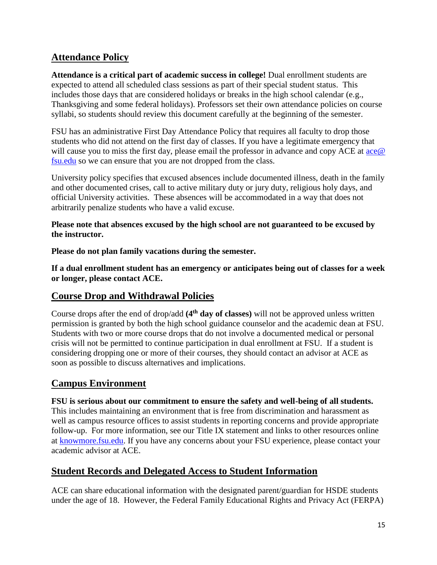# **Attendance Policy**

**Attendance is a critical part of academic success in college!** Dual enrollment students are expected to attend all scheduled class sessions as part of their special student status. This includes those days that are considered holidays or breaks in the high school calendar (e.g., Thanksgiving and some federal holidays). Professors set their own attendance policies on course syllabi, so students should review this document carefully at the beginning of the semester.

FSU has an administrative First Day Attendance Policy that requires all faculty to drop those students who did not attend on the first day of classes. If you have a legitimate emergency that will cause you to miss the first day, please email the professor in advance and copy ACE at  $\alpha e \omega$ [fsu.edu](mailto:ace@%20fsu.edu) so we can ensure that you are not dropped from the class.

University policy specifies that excused absences include documented illness, death in the family and other documented crises, call to active military duty or jury duty, religious holy days, and official University activities. These absences will be accommodated in a way that does not arbitrarily penalize students who have a valid excuse.

#### **Please note that absences excused by the high school are not guaranteed to be excused by the instructor.**

**Please do not plan family vacations during the semester.** 

**If a dual enrollment student has an emergency or anticipates being out of classes for a week or longer, please contact ACE.**

# **Course Drop and Withdrawal Policies**

Course drops after the end of drop/add **(4th day of classes)** will not be approved unless written permission is granted by both the high school guidance counselor and the academic dean at FSU. Students with two or more course drops that do not involve a documented medical or personal crisis will not be permitted to continue participation in dual enrollment at FSU. If a student is considering dropping one or more of their courses, they should contact an advisor at ACE as soon as possible to discuss alternatives and implications.

# **Campus Environment**

**FSU is serious about our commitment to ensure the safety and well-being of all students.** This includes maintaining an environment that is free from discrimination and harassment as well as campus resource offices to assist students in reporting concerns and provide appropriate follow-up. For more information, see our Title IX statement and links to other resources online at [knowmore.fsu.edu.](file:///C:/Users/ahockin/AppData/Local/Microsoft/Windows/INetCache/Content.Outlook/SP0O8DSM/knowmore.fsu.edu) If you have any concerns about your FSU experience, please contact your academic advisor at ACE.

# **Student Records and Delegated Access to Student Information**

ACE can share educational information with the designated parent/guardian for HSDE students under the age of 18. However, the Federal Family Educational Rights and Privacy Act (FERPA)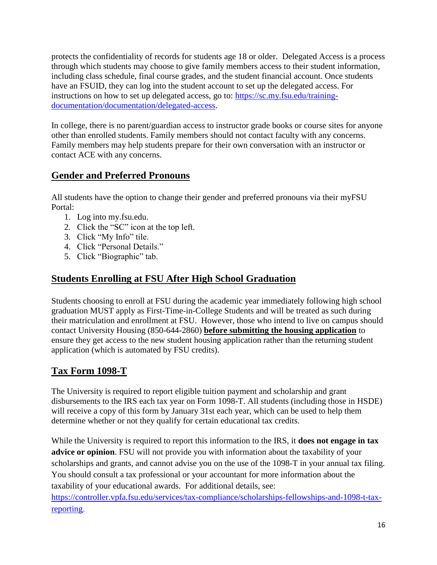protects the confidentiality of records for students age 18 or older. Delegated Access is a process through which students may choose to give family members access to their student information, including class schedule, final course grades, and the student financial account. Once students have an FSUID, they can log into the student account to set up the delegated access. For instructions on how to set up delegated access, go to: [https://sc.my.fsu.edu/training](https://sc.my.fsu.edu/training-documentation/documentation/delegated-access)[documentation/documentation/delegated-access.](https://sc.my.fsu.edu/training-documentation/documentation/delegated-access)

In college, there is no parent/guardian access to instructor grade books or course sites for anyone other than enrolled students. Family members should not contact faculty with any concerns. Family members may help students prepare for their own conversation with an instructor or contact ACE with any concerns.

# **Gender and Preferred Pronouns**

All students have the option to change their gender and preferred pronouns via their myFSU Portal:

- 1. Log into my.fsu.edu.
- 2. Click the "SC" icon at the top left.
- 3. Click "My Info" tile.
- 4. Click "Personal Details."
- 5. Click "Biographic" tab.

# **Students Enrolling at FSU After High School Graduation**

Students choosing to enroll at FSU during the academic year immediately following high school graduation MUST apply as First-Time-in-College Students and will be treated as such during their matriculation and enrollment at FSU. However, those who intend to live on campus should contact University Housing (850-644-2860) **before submitting the housing application** to ensure they get access to the new student housing application rather than the returning student application (which is automated by FSU credits).

# **Tax Form 1098-T**

The University is required to report eligible tuition payment and scholarship and grant disbursements to the IRS each tax year on Form 1098-T. All students (including those in HSDE) will receive a copy of this form by January 31st each year, which can be used to help them determine whether or not they qualify for certain educational tax credits.

While the University is required to report this information to the IRS, it **does not engage in tax advice or opinion**. FSU will not provide you with information about the taxability of your scholarships and grants, and cannot advise you on the use of the 1098-T in your annual tax filing. You should consult a tax professional or your accountant for more information about the taxability of your educational awards. For additional details, see: [https://controller.vpfa.fsu.edu/services/tax-compliance/scholarships-fellowships-and-1098-t-tax](https://controller.vpfa.fsu.edu/services/tax-compliance/scholarships-fellowships-and-1098-t-tax-reporting)[reporting.](https://controller.vpfa.fsu.edu/services/tax-compliance/scholarships-fellowships-and-1098-t-tax-reporting)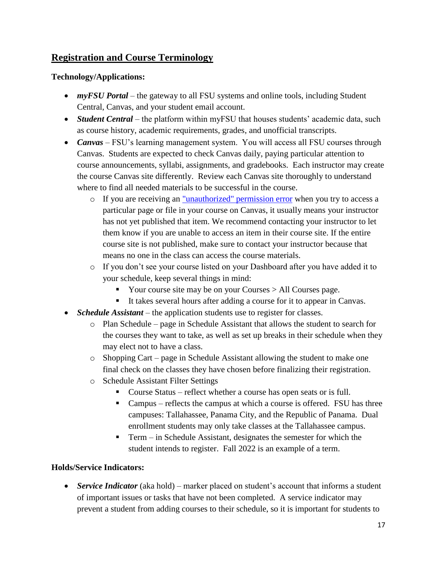# **Registration and Course Terminology**

#### **Technology/Applications:**

- *myFSU Portal* the gateway to all FSU systems and online tools, including Student Central, Canvas, and your student email account.
- *Student Central* the platform within myFSU that houses students' academic data, such as course history, academic requirements, grades, and unofficial transcripts.
- *Canvas* FSU's learning management system. You will access all FSU courses through Canvas. Students are expected to check Canvas daily, paying particular attention to course announcements, syllabi, assignments, and gradebooks. Each instructor may create the course Canvas site differently. Review each Canvas site thoroughly to understand where to find all needed materials to be successful in the course.
	- o If you are receiving an ["unauthorized" permission error](https://support.canvas.fsu.edu/kb/article/962-students-tips-for-a-better-canvas-experience#Permissions_Error) when you try to access a particular page or file in your course on Canvas, it usually means your instructor has not yet published that item. We recommend contacting your instructor to let them know if you are unable to access an item in their course site. If the entire course site is not published, make sure to contact your instructor because that means no one in the class can access the course materials.
	- o If you don't see your course listed on your Dashboard after you have added it to your schedule, keep several things in mind:
		- Your course site may be on your Courses > All Courses page.
		- It takes several hours after adding a course for it to appear in Canvas.
- *Schedule Assistant* the application students use to register for classes.
	- o Plan Schedule page in Schedule Assistant that allows the student to search for the courses they want to take, as well as set up breaks in their schedule when they may elect not to have a class.
	- o Shopping Cart page in Schedule Assistant allowing the student to make one final check on the classes they have chosen before finalizing their registration.
	- o Schedule Assistant Filter Settings
		- Course Status reflect whether a course has open seats or is full.
		- Campus reflects the campus at which a course is offered. FSU has three campuses: Tallahassee, Panama City, and the Republic of Panama. Dual enrollment students may only take classes at the Tallahassee campus.
		- Term in Schedule Assistant, designates the semester for which the student intends to register. Fall 2022 is an example of a term.

#### **Holds/Service Indicators:**

 *Service Indicator* (aka hold) – marker placed on student's account that informs a student of important issues or tasks that have not been completed. A service indicator may prevent a student from adding courses to their schedule, so it is important for students to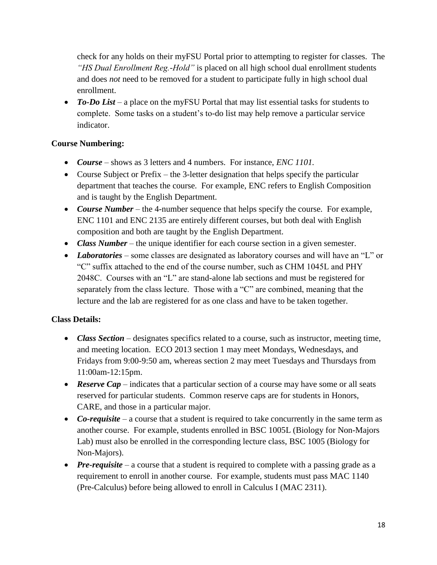check for any holds on their myFSU Portal prior to attempting to register for classes. The *"HS Dual Enrollment Reg.-Hold"* is placed on all high school dual enrollment students and does *not* need to be removed for a student to participate fully in high school dual enrollment.

• To-Do List – a place on the myFSU Portal that may list essential tasks for students to complete. Some tasks on a student's to-do list may help remove a particular service indicator.

#### **Course Numbering:**

- *Course* shows as 3 letters and 4 numbers. For instance, *ENC 1101.*
- Course Subject or Prefix the 3-letter designation that helps specify the particular department that teaches the course. For example, ENC refers to English Composition and is taught by the English Department.
- *Course Number* the 4-number sequence that helps specify the course. For example, ENC 1101 and ENC 2135 are entirely different courses, but both deal with English composition and both are taught by the English Department.
- *Class Number* the unique identifier for each course section in a given semester.
- *Laboratories* some classes are designated as laboratory courses and will have an "L" or "C" suffix attached to the end of the course number, such as CHM 1045L and PHY 2048C. Courses with an "L" are stand-alone lab sections and must be registered for separately from the class lecture. Those with a "C" are combined, meaning that the lecture and the lab are registered for as one class and have to be taken together.

#### **Class Details:**

- *Class Section* designates specifics related to a course, such as instructor, meeting time, and meeting location. ECO 2013 section 1 may meet Mondays, Wednesdays, and Fridays from 9:00-9:50 am, whereas section 2 may meet Tuesdays and Thursdays from 11:00am-12:15pm.
- **Reserve Cap** indicates that a particular section of a course may have some or all seats reserved for particular students. Common reserve caps are for students in Honors, CARE, and those in a particular major.
- Co-requisite a course that a student is required to take concurrently in the same term as another course. For example, students enrolled in BSC 1005L (Biology for Non-Majors Lab) must also be enrolled in the corresponding lecture class, BSC 1005 (Biology for Non-Majors).
- *Pre-requisite* a course that a student is required to complete with a passing grade as a requirement to enroll in another course. For example, students must pass MAC 1140 (Pre-Calculus) before being allowed to enroll in Calculus I (MAC 2311).